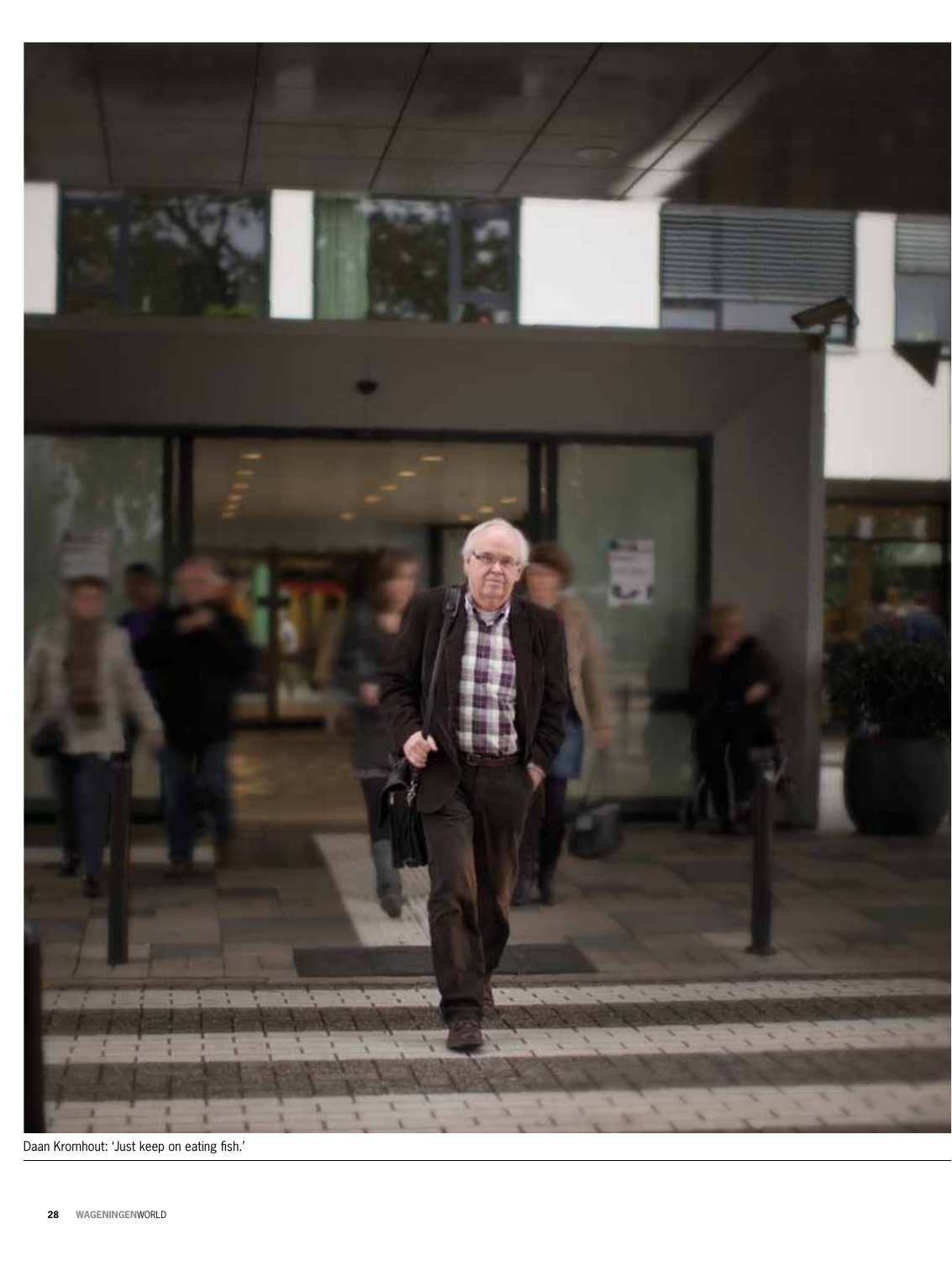

Daan Kromhout: 'Just keep on eating fish.'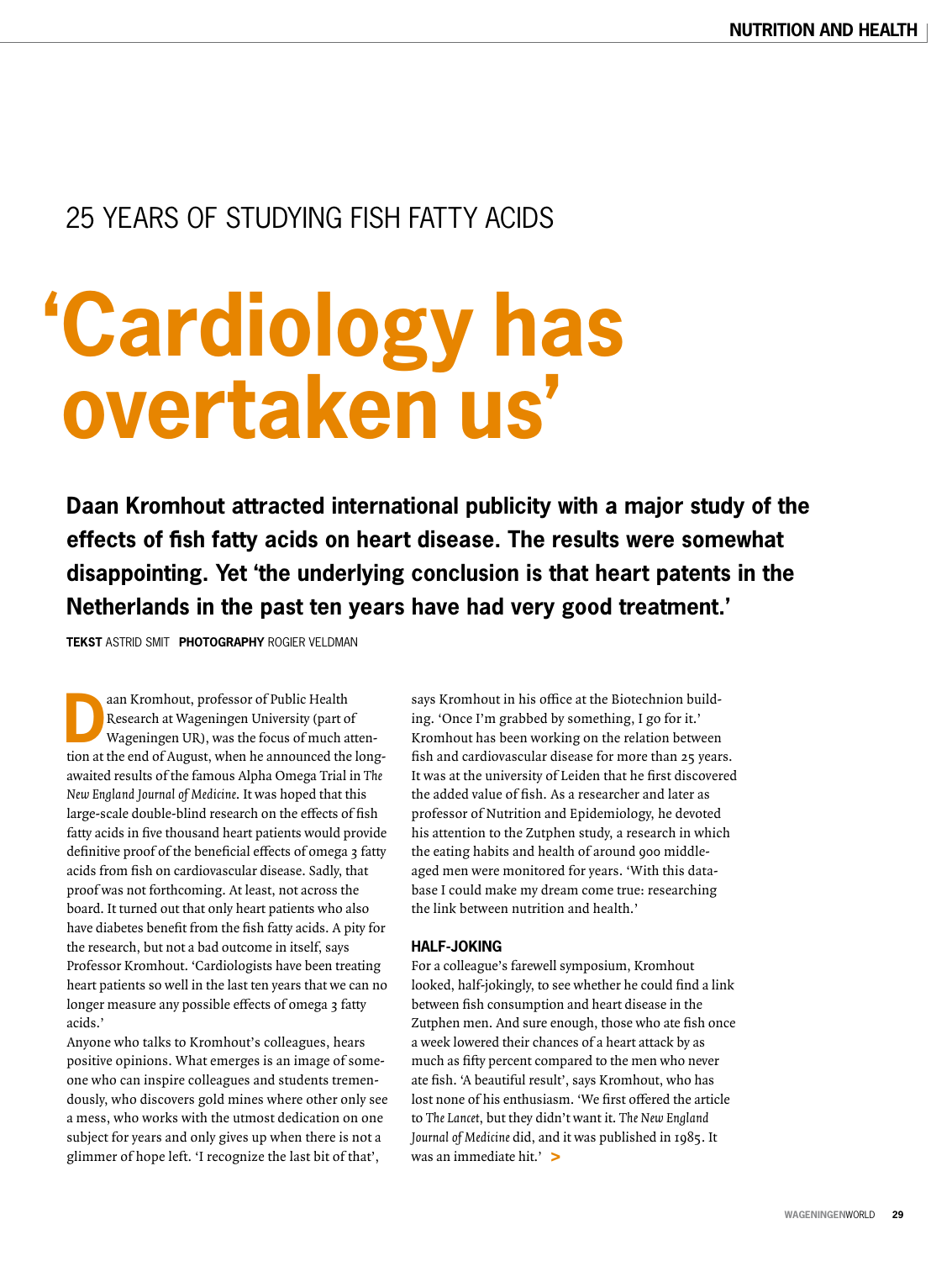### 25 years of studying fish fatty acids

# **'Cardiology has overtaken us'**

**Daan Kromhout attracted international publicity with a major study of the effects of fish fatty acids on heart disease. The results were somewhat disappointing. Yet 'the underlying conclusion is that heart patents in the Netherlands in the past ten years have had very good treatment.'** 

**Tekst** Astrid Smit **Photography** Rogier Veldman

aan Kromhout, professor of Public Health<br>
Research at Wageningen University (part of<br>
Wageningen UR), was the focus of much atten-<br>
the website of the part of the law Research at Wageningen University (part of tion at the end of August, when he announced the longawaited results of the famous Alpha Omega Trial in The New England Journal of Medicine. It was hoped that this large-scale double-blind research on the effects of fish fatty acids in five thousand heart patients would provide definitive proof of the beneficial effects of omega 3 fatty acids from fish on cardiovascular disease. Sadly, that proof was not forthcoming. At least, not across the board. It turned out that only heart patients who also have diabetes benefit from the fish fatty acids. A pity for the research, but not a bad outcome in itself, says Professor Kromhout. 'Cardiologists have been treating heart patients so well in the last ten years that we can no longer measure any possible effects of omega 3 fatty acids.'

Anyone who talks to Kromhout's colleagues, hears positive opinions. What emerges is an image of someone who can inspire colleagues and students tremendously, who discovers gold mines where other only see a mess, who works with the utmost dedication on one subject for years and only gives up when there is not a glimmer of hope left. 'I recognize the last bit of that',

says Kromhout in his office at the Biotechnion building. 'Once I'm grabbed by something, I go for it.' Kromhout has been working on the relation between fish and cardiovascular disease for more than 25 years. It was at the university of Leiden that he first discovered the added value of fish. As a researcher and later as professor of Nutrition and Epidemiology, he devoted his attention to the Zutphen study, a research in which the eating habits and health of around 900 middleaged men were monitored for years. 'With this database I could make my dream come true: researching the link between nutrition and health.'

#### **HALF-JOKING**

For a colleague's farewell symposium, Kromhout looked, half-jokingly, to see whether he could find a link between fish consumption and heart disease in the Zutphen men. And sure enough, those who ate fish once a week lowered their chances of a heart attack by as much as fifty percent compared to the men who never ate fish. 'A beautiful result', says Kromhout, who has lost none of his enthusiasm. 'We first offered the article to The Lancet, but they didn't want it. The New England Journal of Medicine did, and it was published in 1985. It was an immediate hit.' **>**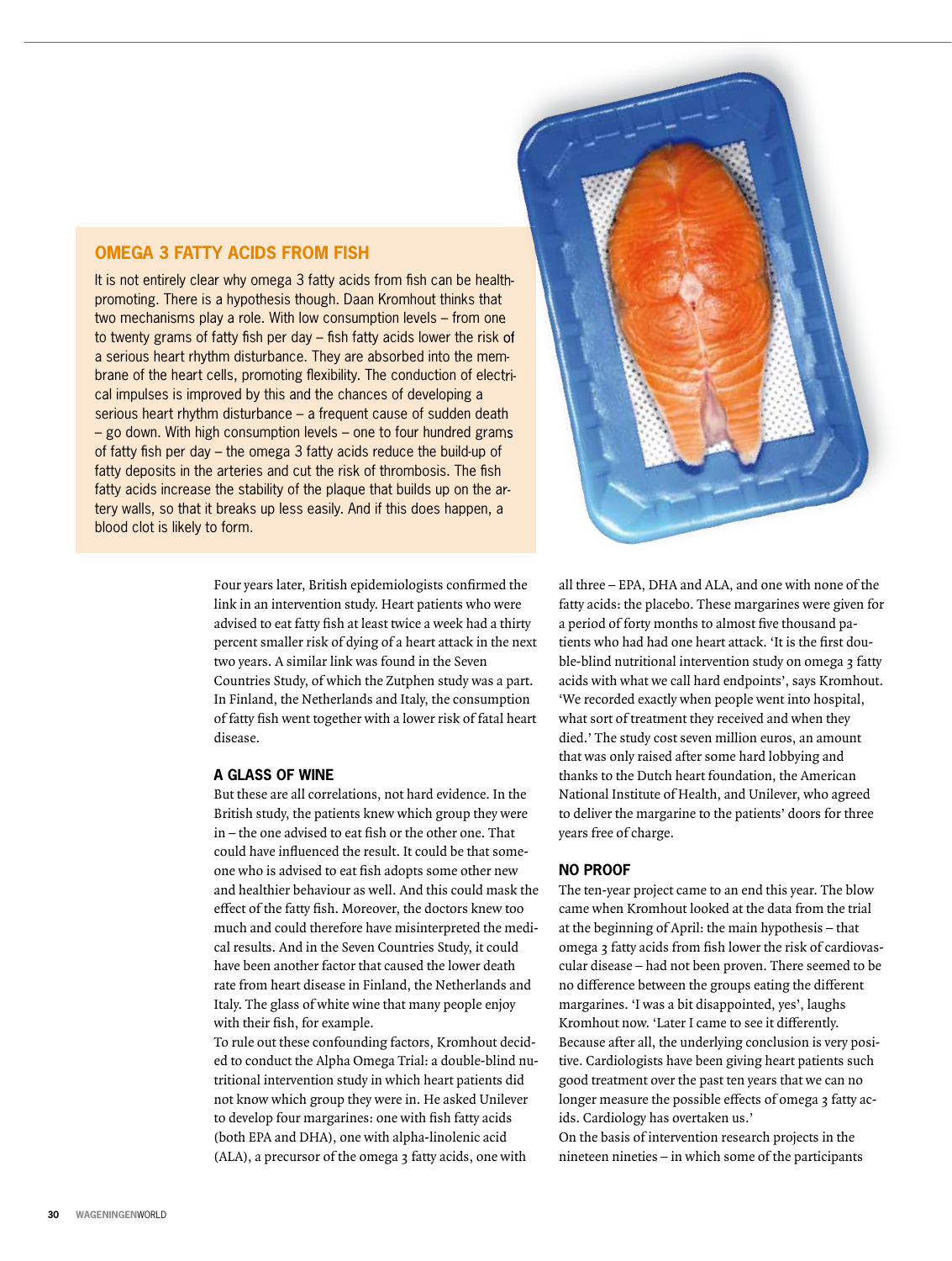#### **OMEGA 3 FATTY ACIDS FROM FISH**

It is not entirely clear why omega 3 fatty acids from fish can be healthpromoting. There is a hypothesis though. Daan Kromhout thinks that two mechanisms play a role. with low consumption levels – from one to twenty grams of fatty fish per day  $-$  fish fatty acids lower the risk of a serious heart rhythm disturbance. They are absorbed into the membrane of the heart cells, promoting flexibility. The conduction of electrical impulses is improved by this and the chances of developing a serious heart rhythm disturbance – a frequent cause of sudden death – go down. with high consumption levels – one to four hundred grams of fatty fish per day – the omega 3 fatty acids reduce the build-up of fatty deposits in the arteries and cut the risk of thrombosis. The fish fatty acids increase the stability of the plaque that builds up on the artery walls, so that it breaks up less easily. And if this does happen, a blood clot is likely to form.

> Four years later, British epidemiologists confirmed the link in an intervention study. Heart patients who were advised to eat fatty fish at least twice a week had a thirty percent smaller risk of dying of a heart attack in the next two years. A similar link was found in the Seven Countries Study, of which the Zutphen study was a part. In Finland, the Netherlands and Italy, the consumption of fatty fish went together with a lower risk of fatal heart disease.

#### **a glaSS of wine**

But these are all correlations, not hard evidence. In the British study, the patients knew which group they were  $in$  – the one advised to eat fish or the other one. That could have influenced the result. It could be that someone who is advised to eat fish adopts some other new and healthier behaviour as well. And this could mask the effect of the fatty fish. Moreover, the doctors knew too much and could therefore have misinterpreted the medical results. And in the Seven Countries Study, it could have been another factor that caused the lower death rate from heart disease in Finland, the Netherlands and Italy. The glass of white wine that many people enjoy with their fish, for example.

To rule out these confounding factors, Kromhout decided to conduct the Alpha Omega Trial: a double-blind nutritional intervention study in which heart patients did not know which group they were in. He asked Unilever to develop four margarines: one with fish fatty acids (both EPA and DHA), one with alpha-linolenic acid (ALA), a precursor of the omega 3 fatty acids, one with



all three – EPA, DHA and ALA, and one with none of the fatty acids: the placebo. These margarines were given for a period of forty months to almost five thousand patients who had had one heart attack. 'It is the first double-blind nutritional intervention study on omega 3 fatty acids with what we call hard endpoints', says Kromhout. 'We recorded exactly when people went into hospital, what sort of treatment they received and when they died.' The study cost seven million euros, an amount that was only raised after some hard lobbying and thanks to the Dutch heart foundation, the American National Institute of Health, and Unilever, who agreed to deliver the margarine to the patients' doors for three years free of charge.

#### **no pRoof**

The ten-year project came to an end this year. The blow came when Kromhout looked at the data from the trial at the beginning of April: the main hypothesis – that omega 3 fatty acids from fish lower the risk of cardiovascular disease – had not been proven. There seemed to be no difference between the groups eating the different margarines. 'I was a bit disappointed, yes', laughs Kromhout now. 'Later I came to see it differently. Because after all, the underlying conclusion is very positive. Cardiologists have been giving heart patients such good treatment over the past ten years that we can no longer measure the possible effects of omega 3 fatty acids. Cardiology has overtaken us.'

On the basis of intervention research projects in the nineteen nineties – in which some of the participants